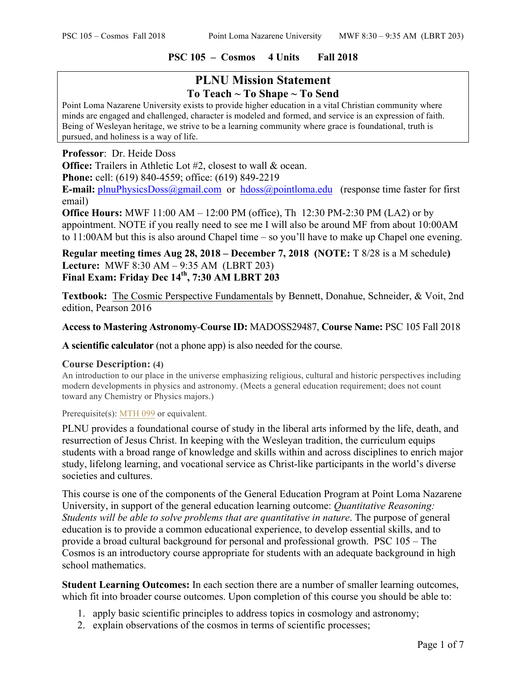### **PSC 105 – Cosmos 4 Units Fall 2018**

# **PLNU Mission Statement To Teach ~ To Shape ~ To Send**

Point Loma Nazarene University exists to provide higher education in a vital Christian community where minds are engaged and challenged, character is modeled and formed, and service is an expression of faith. Being of Wesleyan heritage, we strive to be a learning community where grace is foundational, truth is pursued, and holiness is a way of life.

### **Professor**: Dr. Heide Doss

**Office:** Trailers in Athletic Lot #2, closest to wall & ocean.

**Phone:** cell: (619) 840-4559; office: (619) 849-2219

**E-mail:** plnuPhysicsDoss@gmail.com or hdoss@pointloma.edu (response time faster for first email)

**Office Hours:** MWF 11:00 AM – 12:00 PM (office), Th 12:30 PM-2:30 PM (LA2) or by appointment. NOTE if you really need to see me I will also be around MF from about 10:00AM to 11:00AM but this is also around Chapel time – so you'll have to make up Chapel one evening.

## **Regular meeting times Aug 28, 2018 – December 7, 2018 (NOTE:** T 8/28 is a M schedule**) Lecture:** MWF 8:30 AM – 9:35 AM (LBRT 203) **Final Exam: Friday Dec 14th, 7:30 AM LBRT 203**

**Textbook:** The Cosmic Perspective Fundamentals by Bennett, Donahue, Schneider, & Voit, 2nd edition, Pearson 2016

### **Access to Mastering Astronomy**-**Course ID:** MADOSS29487, **Course Name:** PSC 105 Fall 2018

**A scientific calculator** (not a phone app) is also needed for the course.

#### **Course Description: (4)**

An introduction to our place in the universe emphasizing religious, cultural and historic perspectives including modern developments in physics and astronomy. (Meets a general education requirement; does not count toward any Chemistry or Physics majors.)

Prerequisite(s): MTH 099 or equivalent.

PLNU provides a foundational course of study in the liberal arts informed by the life, death, and resurrection of Jesus Christ. In keeping with the Wesleyan tradition, the curriculum equips students with a broad range of knowledge and skills within and across disciplines to enrich major study, lifelong learning, and vocational service as Christ-like participants in the world's diverse societies and cultures.

This course is one of the components of the General Education Program at Point Loma Nazarene University, in support of the general education learning outcome: *Quantitative Reasoning: Students will be able to solve problems that are quantitative in nature*. The purpose of general education is to provide a common educational experience, to develop essential skills, and to provide a broad cultural background for personal and professional growth. PSC 105 – The Cosmos is an introductory course appropriate for students with an adequate background in high school mathematics.

**Student Learning Outcomes:** In each section there are a number of smaller learning outcomes, which fit into broader course outcomes. Upon completion of this course you should be able to:

- 1. apply basic scientific principles to address topics in cosmology and astronomy;
- 2. explain observations of the cosmos in terms of scientific processes;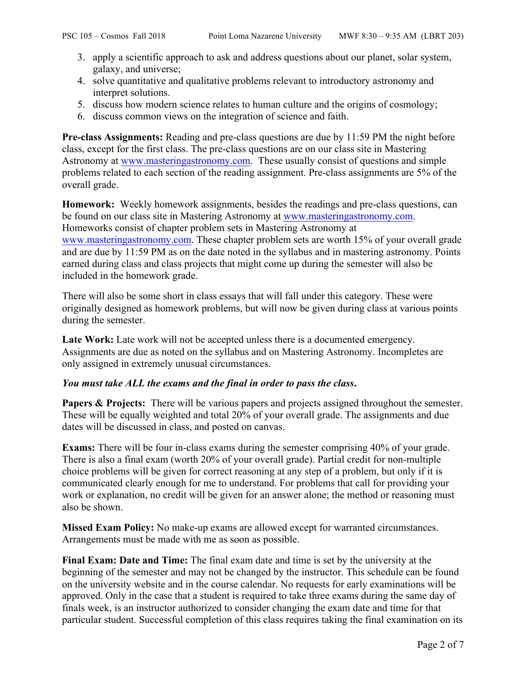- 3. apply a scientific approach to ask and address questions about our planet, solar system, galaxy, and universe;
- 4. solve quantitative and qualitative problems relevant to introductory astronomy and interpret solutions.
- 5. discuss how modern science relates to human culture and the origins of cosmology;
- 6. discuss common views on the integration of science and faith.

**Pre-class Assignments:** Reading and pre-class questions are due by 11:59 PM the night before class, except for the first class. The pre-class questions are on our class site in Mastering Astronomy at www.masteringastronomy.com. These usually consist of questions and simple problems related to each section of the reading assignment. Pre-class assignments are 5% of the overall grade.

**Homework:** Weekly homework assignments, besides the readings and pre-class questions, can be found on our class site in Mastering Astronomy at www.masteringastronomy.com. Homeworks consist of chapter problem sets in Mastering Astronomy at www.masteringastronomy.com. These chapter problem sets are worth 15% of your overall grade and are due by 11:59 PM as on the date noted in the syllabus and in mastering astronomy. Points earned during class and class projects that might come up during the semester will also be included in the homework grade.

There will also be some short in class essays that will fall under this category. These were originally designed as homework problems, but will now be given during class at various points during the semester.

Late Work: Late work will not be accepted unless there is a documented emergency. Assignments are due as noted on the syllabus and on Mastering Astronomy. Incompletes are only assigned in extremely unusual circumstances.

# *You must take ALL the exams and the final in order to pass the class***.**

**Papers & Projects:** There will be various papers and projects assigned throughout the semester. These will be equally weighted and total 20% of your overall grade. The assignments and due dates will be discussed in class, and posted on canvas.

**Exams:** There will be four in-class exams during the semester comprising 40% of your grade. There is also a final exam (worth 20% of your overall grade). Partial credit for non-multiple choice problems will be given for correct reasoning at any step of a problem, but only if it is communicated clearly enough for me to understand. For problems that call for providing your work or explanation, no credit will be given for an answer alone; the method or reasoning must also be shown.

**Missed Exam Policy:** No make-up exams are allowed except for warranted circumstances. Arrangements must be made with me as soon as possible.

Final Exam: Date and Time: The final exam date and time is set by the university at the beginning of the semester and may not be changed by the instructor. This schedule can be found on the university website and in the course calendar. No requests for early examinations will be approved. Only in the case that a student is required to take three exams during the same day of finals week, is an instructor authorized to consider changing the exam date and time for that particular student. Successful completion of this class requires taking the final examination on its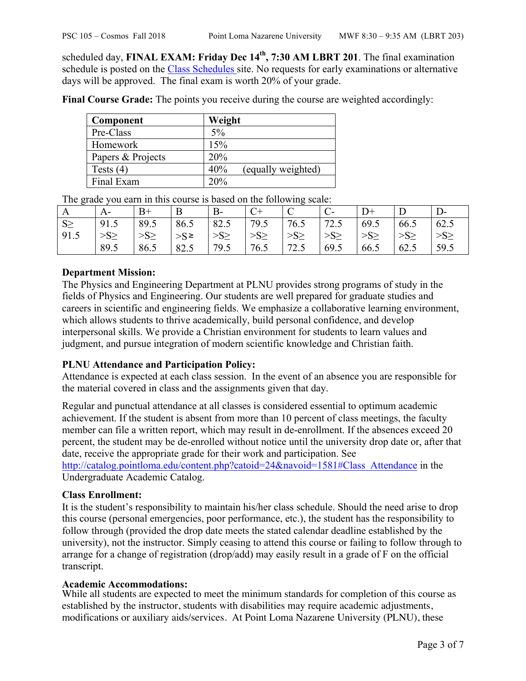scheduled day, **FINAL EXAM: Friday Dec 14th, 7:30 AM LBRT 201**. The final examination schedule is posted on the Class Schedules site. No requests for early examinations or alternative days will be approved. The final exam is worth 20% of your grade.

**Final Course Grade:** The points you receive during the course are weighted accordingly:

| Component         | Weight                    |
|-------------------|---------------------------|
| Pre-Class         | $5\%$                     |
| Homework          | 15%                       |
| Papers & Projects | 20%                       |
| Tests $(4)$       | (equally weighted)<br>40% |
| Final Exam        | 20%                       |

| A        | $A-$      | $B+$      | B           | B-        | $C+$      | $\sqrt{ }$<br>◡ | $\mathbf{C}$ | $D+$      |           | D-              |
|----------|-----------|-----------|-------------|-----------|-----------|-----------------|--------------|-----------|-----------|-----------------|
| $S \geq$ | 91.5      | 89.5      | 86.5        | 82.5      | 79.5      | 76.5            | 72.5         | 69.5      | 66.5      | 62.5            |
| 91.5     | $>S \geq$ | $>S \geq$ | $>S^{\geq}$ | $>S \geq$ | $>S \geq$ | $>S \geq$       | $>S \geq$    | $>S \geq$ | $>S \geq$ | >S <sub>2</sub> |
|          | 89.5      | 86.5      | 82.5        | 79.5      | 76.5      | 72.5            | 69.5         | 66.5      | 62.5      | 59.5            |

The grade you earn in this course is based on the following scale:

## **Department Mission:**

The Physics and Engineering Department at PLNU provides strong programs of study in the fields of Physics and Engineering. Our students are well prepared for graduate studies and careers in scientific and engineering fields. We emphasize a collaborative learning environment, which allows students to thrive academically, build personal confidence, and develop interpersonal skills. We provide a Christian environment for students to learn values and judgment, and pursue integration of modern scientific knowledge and Christian faith.

## **PLNU Attendance and Participation Policy:**

Attendance is expected at each class session. In the event of an absence you are responsible for the material covered in class and the assignments given that day.

Regular and punctual attendance at all classes is considered essential to optimum academic achievement. If the student is absent from more than 10 percent of class meetings, the faculty member can file a written report, which may result in de-enrollment. If the absences exceed 20 percent, the student may be de-enrolled without notice until the university drop date or, after that date, receive the appropriate grade for their work and participation. See

http://catalog.pointloma.edu/content.php?catoid=24&navoid=1581#Class\_Attendance in the Undergraduate Academic Catalog.

## **Class Enrollment:**

It is the student's responsibility to maintain his/her class schedule. Should the need arise to drop this course (personal emergencies, poor performance, etc.), the student has the responsibility to follow through (provided the drop date meets the stated calendar deadline established by the university), not the instructor. Simply ceasing to attend this course or failing to follow through to arrange for a change of registration (drop/add) may easily result in a grade of F on the official transcript.

## **Academic Accommodations:**

While all students are expected to meet the minimum standards for completion of this course as established by the instructor, students with disabilities may require academic adjustments, modifications or auxiliary aids/services. At Point Loma Nazarene University (PLNU), these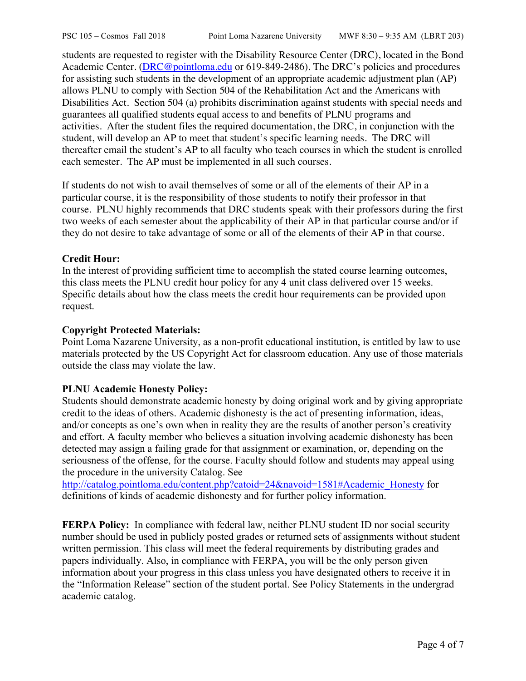students are requested to register with the Disability Resource Center (DRC), located in the Bond Academic Center. (DRC@pointloma.edu or 619-849-2486). The DRC's policies and procedures for assisting such students in the development of an appropriate academic adjustment plan (AP) allows PLNU to comply with Section 504 of the Rehabilitation Act and the Americans with Disabilities Act. Section 504 (a) prohibits discrimination against students with special needs and guarantees all qualified students equal access to and benefits of PLNU programs and activities. After the student files the required documentation, the DRC, in conjunction with the student, will develop an AP to meet that student's specific learning needs. The DRC will thereafter email the student's AP to all faculty who teach courses in which the student is enrolled each semester. The AP must be implemented in all such courses.

If students do not wish to avail themselves of some or all of the elements of their AP in a particular course, it is the responsibility of those students to notify their professor in that course. PLNU highly recommends that DRC students speak with their professors during the first two weeks of each semester about the applicability of their AP in that particular course and/or if they do not desire to take advantage of some or all of the elements of their AP in that course.

## **Credit Hour:**

In the interest of providing sufficient time to accomplish the stated course learning outcomes, this class meets the PLNU credit hour policy for any 4 unit class delivered over 15 weeks. Specific details about how the class meets the credit hour requirements can be provided upon request.

### **Copyright Protected Materials:**

Point Loma Nazarene University, as a non-profit educational institution, is entitled by law to use materials protected by the US Copyright Act for classroom education. Any use of those materials outside the class may violate the law.

## **PLNU Academic Honesty Policy:**

Students should demonstrate academic honesty by doing original work and by giving appropriate credit to the ideas of others. Academic dishonesty is the act of presenting information, ideas, and/or concepts as one's own when in reality they are the results of another person's creativity and effort. A faculty member who believes a situation involving academic dishonesty has been detected may assign a failing grade for that assignment or examination, or, depending on the seriousness of the offense, for the course. Faculty should follow and students may appeal using the procedure in the university Catalog. See

http://catalog.pointloma.edu/content.php?catoid=24&navoid=1581#Academic\_Honesty for definitions of kinds of academic dishonesty and for further policy information.

**FERPA Policy:** In compliance with federal law, neither PLNU student ID nor social security number should be used in publicly posted grades or returned sets of assignments without student written permission. This class will meet the federal requirements by distributing grades and papers individually. Also, in compliance with FERPA, you will be the only person given information about your progress in this class unless you have designated others to receive it in the "Information Release" section of the student portal. See Policy Statements in the undergrad academic catalog.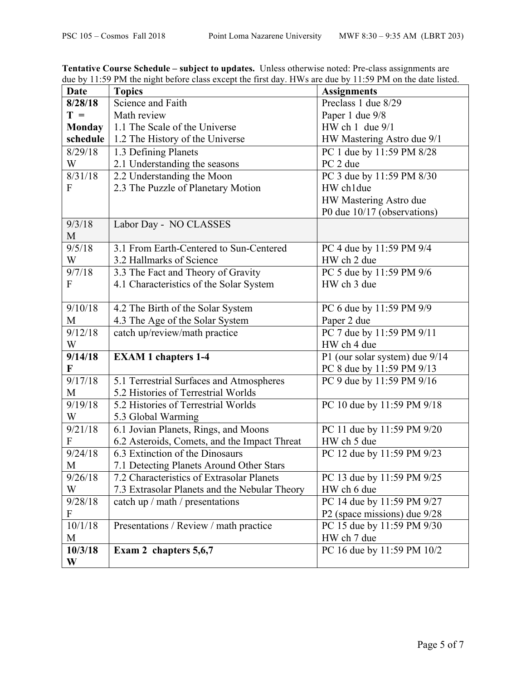| Date             | ado by 11.99 The the hight before easy except the first day. If we are due by 11.99 The on the date hotel.<br><b>Topics</b> | <b>Assignments</b>                        |  |  |
|------------------|-----------------------------------------------------------------------------------------------------------------------------|-------------------------------------------|--|--|
| 8/28/18          | Science and Faith                                                                                                           | Preclass 1 due 8/29                       |  |  |
| $T =$            | Math review                                                                                                                 | Paper 1 due 9/8                           |  |  |
| <b>Monday</b>    | 1.1 The Scale of the Universe                                                                                               | HW ch $1$ due $9/1$                       |  |  |
| schedule         | 1.2 The History of the Universe                                                                                             | HW Mastering Astro due 9/1                |  |  |
| 8/29/18          | 1.3 Defining Planets                                                                                                        | PC 1 due by 11:59 PM 8/28                 |  |  |
| W                | 2.1 Understanding the seasons                                                                                               | PC 2 due                                  |  |  |
| 8/31/18          | 2.2 Understanding the Moon                                                                                                  | PC 3 due by 11:59 PM 8/30                 |  |  |
| F                | 2.3 The Puzzle of Planetary Motion                                                                                          | HW ch1due                                 |  |  |
|                  |                                                                                                                             | HW Mastering Astro due                    |  |  |
|                  |                                                                                                                             | P0 due 10/17 (observations)               |  |  |
| 9/3/18           | Labor Day - NO CLASSES                                                                                                      |                                           |  |  |
| M                |                                                                                                                             |                                           |  |  |
| 9/5/18           | 3.1 From Earth-Centered to Sun-Centered                                                                                     | PC 4 due by 11:59 PM 9/4                  |  |  |
| W                | 3.2 Hallmarks of Science                                                                                                    | HW ch 2 due                               |  |  |
| 9/7/18           | 3.3 The Fact and Theory of Gravity                                                                                          | PC 5 due by 11:59 PM 9/6                  |  |  |
| F                | 4.1 Characteristics of the Solar System                                                                                     | HW ch 3 due                               |  |  |
|                  |                                                                                                                             |                                           |  |  |
| 9/10/18          | 4.2 The Birth of the Solar System                                                                                           | PC 6 due by 11:59 PM 9/9                  |  |  |
| M                | 4.3 The Age of the Solar System                                                                                             | Paper 2 due                               |  |  |
| 9/12/18          | catch up/review/math practice                                                                                               | PC 7 due by 11:59 PM 9/11                 |  |  |
| W                |                                                                                                                             | HW ch 4 due                               |  |  |
| 9/14/18          | <b>EXAM 1 chapters 1-4</b>                                                                                                  | P1 (our solar system) due 9/14            |  |  |
| F                |                                                                                                                             | PC 8 due by 11:59 PM 9/13                 |  |  |
| 9/17/18          | 5.1 Terrestrial Surfaces and Atmospheres                                                                                    | PC 9 due by 11:59 PM 9/16                 |  |  |
| M                | 5.2 Histories of Terrestrial Worlds                                                                                         |                                           |  |  |
| 9/19/18          | 5.2 Histories of Terrestrial Worlds                                                                                         | PC 10 due by 11:59 PM 9/18                |  |  |
| W<br>9/21/18     | 5.3 Global Warming                                                                                                          |                                           |  |  |
| ${\bf F}$        | 6.1 Jovian Planets, Rings, and Moons                                                                                        | PC 11 due by 11:59 PM 9/20<br>HW ch 5 due |  |  |
| 9/24/18          | 6.2 Asteroids, Comets, and the Impact Threat<br>6.3 Extinction of the Dinosaurs                                             | PC 12 due by 11:59 PM 9/23                |  |  |
| M                | 7.1 Detecting Planets Around Other Stars                                                                                    |                                           |  |  |
| 9/26/18          | 7.2 Characteristics of Extrasolar Planets                                                                                   | PC 13 due by 11:59 PM 9/25                |  |  |
| W                | 7.3 Extrasolar Planets and the Nebular Theory                                                                               | HW ch 6 due                               |  |  |
| 9/28/18          | catch up / math / presentations                                                                                             | PC 14 due by 11:59 PM 9/27                |  |  |
| $\boldsymbol{F}$ |                                                                                                                             | P2 (space missions) due 9/28              |  |  |
| 10/1/18          | Presentations / Review / math practice                                                                                      | PC 15 due by 11:59 PM 9/30                |  |  |
| M                |                                                                                                                             | HW ch 7 due                               |  |  |
| 10/3/18          | Exam 2 chapters 5,6,7                                                                                                       | PC 16 due by 11:59 PM 10/2                |  |  |
| W                |                                                                                                                             |                                           |  |  |

**Tentative Course Schedule – subject to updates.** Unless otherwise noted: Pre-class assignments are due by 11:59 PM the night before class except the first day. HWs are due by 11:59 PM on the date listed.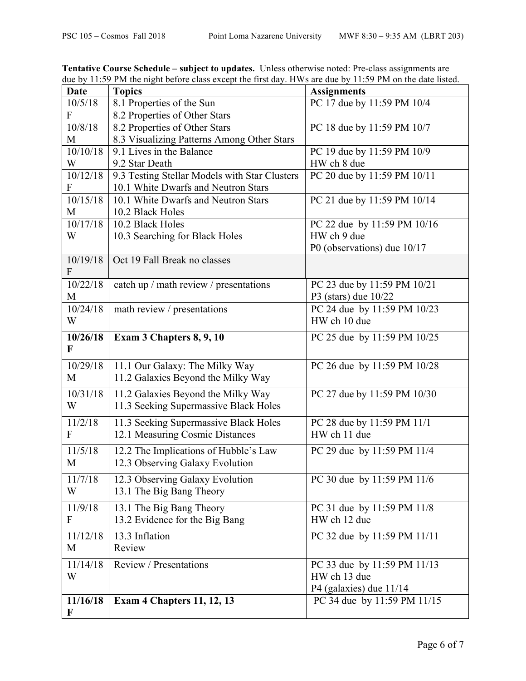| <b>Date</b> | <b>Topics</b>                                 | <b>Assignments</b>                      |
|-------------|-----------------------------------------------|-----------------------------------------|
| 10/5/18     | 8.1 Properties of the Sun                     | PC 17 due by 11:59 PM 10/4              |
| F           | 8.2 Properties of Other Stars                 |                                         |
| 10/8/18     | 8.2 Properties of Other Stars                 | PC 18 due by 11:59 PM 10/7              |
| M           | 8.3 Visualizing Patterns Among Other Stars    |                                         |
| 10/10/18    | 9.1 Lives in the Balance                      | PC 19 due by 11:59 PM 10/9              |
| W           | 9.2 Star Death                                | HW ch 8 due                             |
| 10/12/18    | 9.3 Testing Stellar Models with Star Clusters | PC 20 due by 11:59 PM 10/11             |
| F           | 10.1 White Dwarfs and Neutron Stars           |                                         |
| 10/15/18    | 10.1 White Dwarfs and Neutron Stars           | PC 21 due by 11:59 PM 10/14             |
| M           | 10.2 Black Holes                              |                                         |
| 10/17/18    | 10.2 Black Holes                              | PC 22 due by 11:59 PM 10/16             |
| W           | 10.3 Searching for Black Holes                | HW ch 9 due                             |
|             |                                               | P0 (observations) due 10/17             |
| 10/19/18    | Oct 19 Fall Break no classes                  |                                         |
| F           |                                               |                                         |
| 10/22/18    | catch up / math review / presentations        | PC 23 due by 11:59 PM 10/21             |
| M           |                                               | P3 (stars) due $10/22$                  |
| 10/24/18    | math review / presentations                   | PC 24 due by 11:59 PM 10/23             |
| W           |                                               | HW ch 10 due                            |
| 10/26/18    | Exam 3 Chapters 8, 9, 10                      | PC 25 due by 11:59 PM 10/25             |
| F           |                                               |                                         |
| 10/29/18    | 11.1 Our Galaxy: The Milky Way                | PC 26 due by 11:59 PM 10/28             |
| M           | 11.2 Galaxies Beyond the Milky Way            |                                         |
|             |                                               |                                         |
| 10/31/18    | 11.2 Galaxies Beyond the Milky Way            | PC 27 due by 11:59 PM 10/30             |
| W           | 11.3 Seeking Supermassive Black Holes         |                                         |
| 11/2/18     | 11.3 Seeking Supermassive Black Holes         | PC 28 due by 11:59 PM 11/1              |
| F           | 12.1 Measuring Cosmic Distances               | HW ch 11 due                            |
| 11/5/18     | 12.2 The Implications of Hubble's Law         | PC 29 due by 11:59 PM 11/4              |
| M           | 12.3 Observing Galaxy Evolution               |                                         |
| 11/7/18     | 12.3 Observing Galaxy Evolution               | PC 30 due by 11:59 PM $\overline{11/6}$ |
| W           | 13.1 The Big Bang Theory                      |                                         |
|             |                                               |                                         |
| 11/9/18     | 13.1 The Big Bang Theory                      | PC 31 due by 11:59 PM 11/8              |
| F           | 13.2 Evidence for the Big Bang                | HW ch 12 due                            |
| 11/12/18    | 13.3 Inflation                                | PC 32 due by 11:59 PM 11/11             |
| M           | Review                                        |                                         |
| 11/14/18    | Review / Presentations                        | PC 33 due by 11:59 PM 11/13             |
| W           |                                               | HW ch 13 due                            |
|             |                                               | P4 (galaxies) due 11/14                 |
| 11/16/18    | <b>Exam 4 Chapters 11, 12, 13</b>             | PC 34 due by 11:59 PM 11/15             |
| F           |                                               |                                         |

**Tentative Course Schedule – subject to updates.** Unless otherwise noted: Pre-class assignments are due by 11:59 PM the night before class except the first day. HWs are due by 11:59 PM on the date listed.